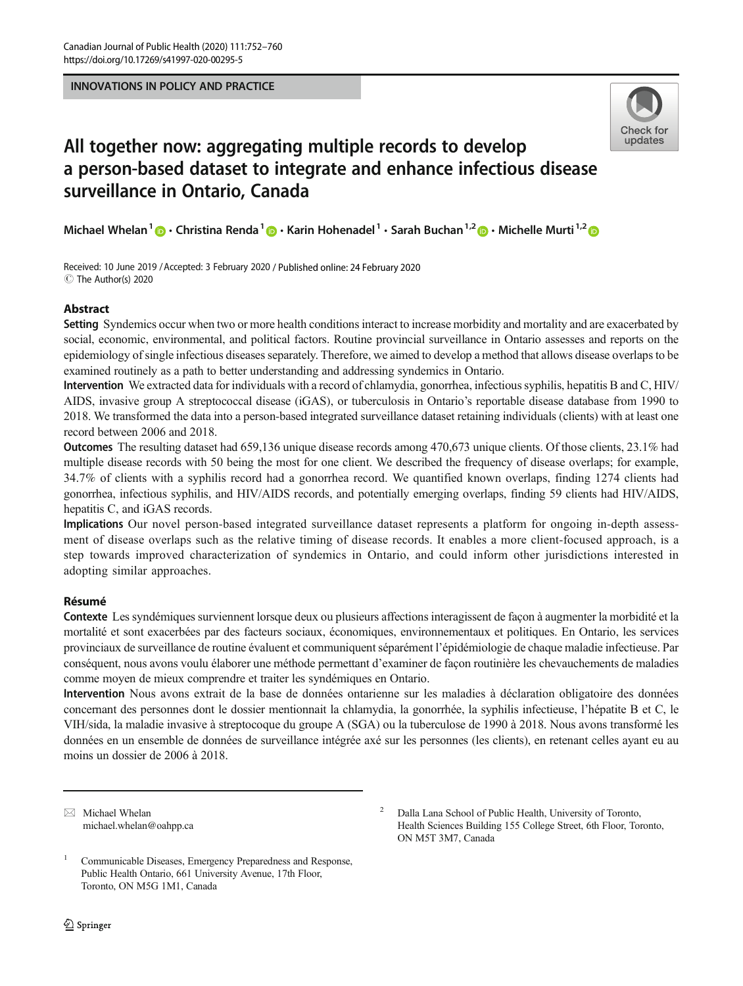INNOVATIONS IN POLICY AND PRACTICE



# All together now: aggregating multiple records to develop a person-based dataset to integrate and enhance infectious disease surveillance in Ontario, Canada

Michael Whelan<sup>1</sup>  $\bigcirc$  Christina Renda<sup>1</sup>  $\bigcirc$  Karin Hohenadel<sup>1</sup> · Sarah Buchan<sup>1,2</sup>  $\bigcirc$  Michelle Murti<sup>1,2</sup>  $\bigcirc$ 

Received: 10 June 2019 /Accepted: 3 February 2020 / Published online: 24 February 2020  $\circledcirc$  The Author(s) 2020

# **Abstract**

Setting Syndemics occur when two or more health conditions interact to increase morbidity and mortality and are exacerbated by social, economic, environmental, and political factors. Routine provincial surveillance in Ontario assesses and reports on the epidemiology of single infectious diseases separately. Therefore, we aimed to develop a method that allows disease overlaps to be examined routinely as a path to better understanding and addressing syndemics in Ontario.

Intervention We extracted data for individuals with a record of chlamydia, gonorrhea, infectious syphilis, hepatitis B and C, HIV/ AIDS, invasive group A streptococcal disease (iGAS), or tuberculosis in Ontario's reportable disease database from 1990 to 2018. We transformed the data into a person-based integrated surveillance dataset retaining individuals (clients) with at least one record between 2006 and 2018.

Outcomes The resulting dataset had 659,136 unique disease records among 470,673 unique clients. Of those clients, 23.1% had multiple disease records with 50 being the most for one client. We described the frequency of disease overlaps; for example, 34.7% of clients with a syphilis record had a gonorrhea record. We quantified known overlaps, finding 1274 clients had gonorrhea, infectious syphilis, and HIV/AIDS records, and potentially emerging overlaps, finding 59 clients had HIV/AIDS, hepatitis C, and iGAS records.

Implications Our novel person-based integrated surveillance dataset represents a platform for ongoing in-depth assessment of disease overlaps such as the relative timing of disease records. It enables a more client-focused approach, is a step towards improved characterization of syndemics in Ontario, and could inform other jurisdictions interested in adopting similar approaches.

# Résumé

Résumé Contexte Les syndémiques surviennent lorsque deux ou plusieurs affections interagissent de façon à augmenter la morbidité et la mortalité et sont exacerbées par des facteurs sociaux, économiques, environnementaux et politiques. En Ontario, les services provinciaux de surveillance de routine évaluent et communiquent séparément l'épidémiologie de chaque maladie infectieuse. Par conséquent, nous avons voulu élaborer une méthode permettant d'examiner de façon routinière les chevauchements de maladies comme moyen de mieux comprendre et traiter les syndémiques en Ontario.

Intervention Nous avons extrait de la base de données ontarienne sur les maladies à déclaration obligatoire des données concernant des personnes dont le dossier mentionnait la chlamydia, la gonorrhée, la syphilis infectieuse, l'hépatite B et C, le VIH/sida, la maladie invasive à streptocoque du groupe A (SGA) ou la tuberculose de 1990 à 2018. Nous avons transformé les données en un ensemble de données de surveillance intégrée axé sur les personnes (les clients), en retenant celles ayant eu au moins un dossier de 2006 à 2018.

 $\boxtimes$  Michael Whelan [michael.whelan@oahpp.ca](mailto:michael.whelan@oahpp.ca)

<sup>1</sup> Communicable Diseases, Emergency Preparedness and Response, Public Health Ontario, 661 University Avenue, 17th Floor, Toronto, ON M5G 1M1, Canada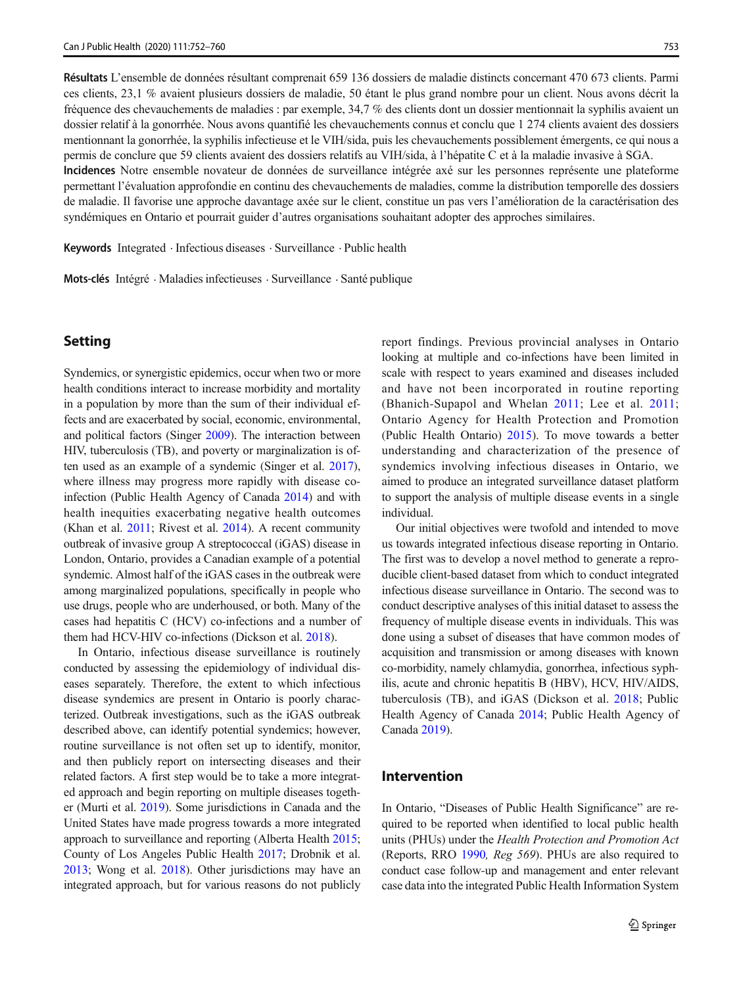Résultats L'ensemble de données résultant comprenait 659 136 dossiers de maladie distincts concernant 470 673 clients. Parmi ces clients, 23,1 % avaient plusieurs dossiers de maladie, 50 étant le plus grand nombre pour un client. Nous avons décrit la fréquence des chevauchements de maladies : par exemple, 34,7 % des clients dont un dossier mentionnait la syphilis avaient un dossier relatif à la gonorrhée. Nous avons quantifié les chevauchements connus et conclu que 1 274 clients avaient des dossiers mentionnant la gonorrhée, la syphilis infectieuse et le VIH/sida, puis les chevauchements possiblement émergents, ce qui nous a permis de conclure que 59 clients avaient des dossiers relatifs au VIH/sida, à l'hépatite C et à la maladie invasive à SGA. Incidences Notre ensemble novateur de données de surveillance intégrée axé sur les personnes représente une plateforme

permettant l'évaluation approfondie en continu des chevauchements de maladies, comme la distribution temporelle des dossiers de maladie. Il favorise une approche davantage axée sur le client, constitue un pas vers l'amélioration de la caractérisation des syndémiques en Ontario et pourrait guider d'autres organisations souhaitant adopter des approches similaires.

Keywords Integrated . Infectious diseases . Surveillance . Public health

Mots-clés Intégré . Maladies infectieuses . Surveillance . Santé publique

# Setting

Syndemics, or synergistic epidemics, occur when two or more health conditions interact to increase morbidity and mortality in a population by more than the sum of their individual effects and are exacerbated by social, economic, environmental, and political factors (Singer [2009](#page-8-0)). The interaction between HIV, tuberculosis (TB), and poverty or marginalization is often used as an example of a syndemic (Singer et al. [2017\)](#page-8-0), where illness may progress more rapidly with disease coinfection (Public Health Agency of Canada [2014](#page-7-0)) and with health inequities exacerbating negative health outcomes (Khan et al. [2011](#page-7-0); Rivest et al. [2014](#page-8-0)). A recent community outbreak of invasive group A streptococcal (iGAS) disease in London, Ontario, provides a Canadian example of a potential syndemic. Almost half of the iGAS cases in the outbreak were among marginalized populations, specifically in people who use drugs, people who are underhoused, or both. Many of the cases had hepatitis C (HCV) co-infections and a number of them had HCV-HIV co-infections (Dickson et al. [2018\)](#page-7-0).

In Ontario, infectious disease surveillance is routinely conducted by assessing the epidemiology of individual diseases separately. Therefore, the extent to which infectious disease syndemics are present in Ontario is poorly characterized. Outbreak investigations, such as the iGAS outbreak described above, can identify potential syndemics; however, routine surveillance is not often set up to identify, monitor, and then publicly report on intersecting diseases and their related factors. A first step would be to take a more integrated approach and begin reporting on multiple diseases together (Murti et al. [2019](#page-7-0)). Some jurisdictions in Canada and the United States have made progress towards a more integrated approach to surveillance and reporting (Alberta Health [2015](#page-7-0); County of Los Angeles Public Health [2017;](#page-7-0) Drobnik et al. [2013;](#page-7-0) Wong et al. [2018\)](#page-8-0). Other jurisdictions may have an integrated approach, but for various reasons do not publicly report findings. Previous provincial analyses in Ontario looking at multiple and co-infections have been limited in scale with respect to years examined and diseases included and have not been incorporated in routine reporting (Bhanich-Supapol and Whelan [2011](#page-7-0); Lee et al. [2011;](#page-7-0) Ontario Agency for Health Protection and Promotion (Public Health Ontario) [2015\)](#page-7-0). To move towards a better understanding and characterization of the presence of syndemics involving infectious diseases in Ontario, we aimed to produce an integrated surveillance dataset platform to support the analysis of multiple disease events in a single individual.

Our initial objectives were twofold and intended to move us towards integrated infectious disease reporting in Ontario. The first was to develop a novel method to generate a reproducible client-based dataset from which to conduct integrated infectious disease surveillance in Ontario. The second was to conduct descriptive analyses of this initial dataset to assess the frequency of multiple disease events in individuals. This was done using a subset of diseases that have common modes of acquisition and transmission or among diseases with known co-morbidity, namely chlamydia, gonorrhea, infectious syphilis, acute and chronic hepatitis B (HBV), HCV, HIV/AIDS, tuberculosis (TB), and iGAS (Dickson et al. [2018](#page-7-0); Public Health Agency of Canada [2014](#page-7-0); Public Health Agency of Canada [2019\)](#page-8-0).

## **Intervention**

In Ontario, "Diseases of Public Health Significance" are required to be reported when identified to local public health units (PHUs) under the Health Protection and Promotion Act (Reports, RRO [1990](#page-8-0), Reg 569). PHUs are also required to conduct case follow-up and management and enter relevant case data into the integrated Public Health Information System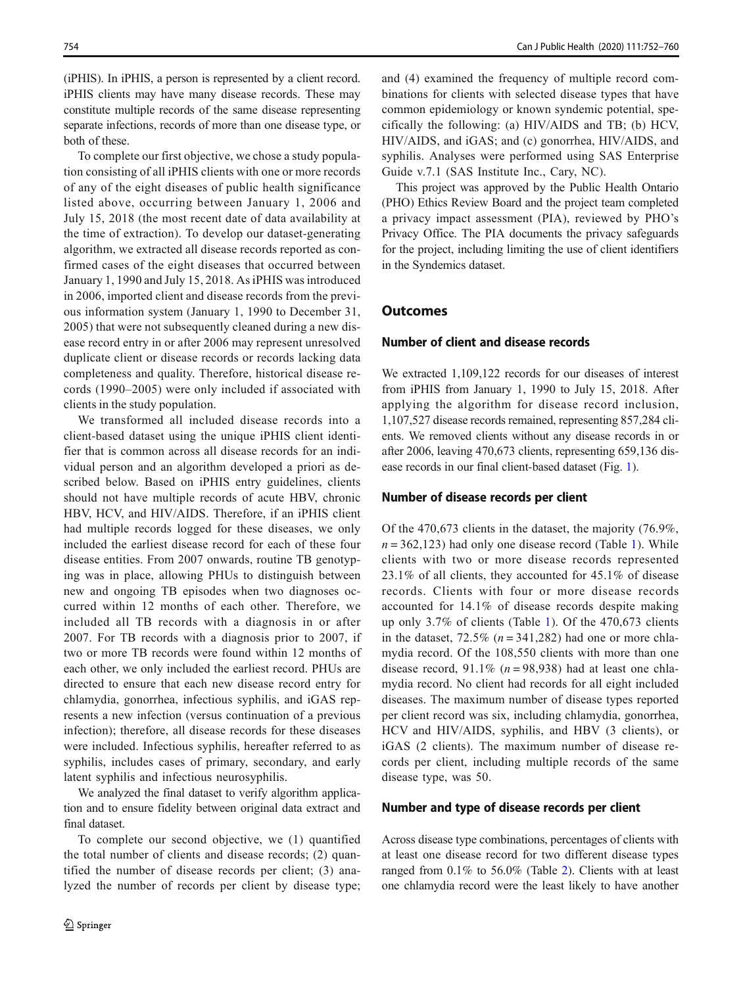(iPHIS). In iPHIS, a person is represented by a client record. iPHIS clients may have many disease records. These may constitute multiple records of the same disease representing separate infections, records of more than one disease type, or both of these.

To complete our first objective, we chose a study population consisting of all iPHIS clients with one or more records of any of the eight diseases of public health significance listed above, occurring between January 1, 2006 and July 15, 2018 (the most recent date of data availability at the time of extraction). To develop our dataset-generating algorithm, we extracted all disease records reported as confirmed cases of the eight diseases that occurred between January 1, 1990 and July 15, 2018. As iPHIS was introduced in 2006, imported client and disease records from the previous information system (January 1, 1990 to December 31, 2005) that were not subsequently cleaned during a new disease record entry in or after 2006 may represent unresolved duplicate client or disease records or records lacking data completeness and quality. Therefore, historical disease records (1990–2005) were only included if associated with clients in the study population.

We transformed all included disease records into a client-based dataset using the unique iPHIS client identifier that is common across all disease records for an individual person and an algorithm developed a priori as described below. Based on iPHIS entry guidelines, clients should not have multiple records of acute HBV, chronic HBV, HCV, and HIV/AIDS. Therefore, if an iPHIS client had multiple records logged for these diseases, we only included the earliest disease record for each of these four disease entities. From 2007 onwards, routine TB genotyping was in place, allowing PHUs to distinguish between new and ongoing TB episodes when two diagnoses occurred within 12 months of each other. Therefore, we included all TB records with a diagnosis in or after 2007. For TB records with a diagnosis prior to 2007, if two or more TB records were found within 12 months of each other, we only included the earliest record. PHUs are directed to ensure that each new disease record entry for chlamydia, gonorrhea, infectious syphilis, and iGAS represents a new infection (versus continuation of a previous infection); therefore, all disease records for these diseases were included. Infectious syphilis, hereafter referred to as syphilis, includes cases of primary, secondary, and early latent syphilis and infectious neurosyphilis.

We analyzed the final dataset to verify algorithm application and to ensure fidelity between original data extract and final dataset.

To complete our second objective, we (1) quantified the total number of clients and disease records; (2) quantified the number of disease records per client; (3) analyzed the number of records per client by disease type; and (4) examined the frequency of multiple record combinations for clients with selected disease types that have common epidemiology or known syndemic potential, specifically the following: (a) HIV/AIDS and TB; (b) HCV, HIV/AIDS, and iGAS; and (c) gonorrhea, HIV/AIDS, and syphilis. Analyses were performed using SAS Enterprise Guide v.7.1 (SAS Institute Inc., Cary, NC).

This project was approved by the Public Health Ontario (PHO) Ethics Review Board and the project team completed a privacy impact assessment (PIA), reviewed by PHO's Privacy Office. The PIA documents the privacy safeguards for the project, including limiting the use of client identifiers in the Syndemics dataset.

## Number of client and disease records

We extracted 1,109,122 records for our diseases of interest from iPHIS from January 1, 1990 to July 15, 2018. After applying the algorithm for disease record inclusion, 1,107,527 disease records remained, representing 857,284 clients. We removed clients without any disease records in or after 2006, leaving 470,673 clients, representing 659,136 disease records in our final client-based dataset (Fig. [1\)](#page-3-0).

#### Number of disease records per client

Of the 470,673 clients in the dataset, the majority (76.9%,  $n = 362,123$ ) had only one disease record (Table [1\)](#page-3-0). While clients with two or more disease records represented 23.1% of all clients, they accounted for 45.1% of disease records. Clients with four or more disease records accounted for 14.1% of disease records despite making up only 3.7% of clients (Table [1\)](#page-3-0). Of the 470,673 clients in the dataset,  $72.5\%$  ( $n = 341,282$ ) had one or more chlamydia record. Of the 108,550 clients with more than one disease record,  $91.1\%$  ( $n = 98,938$ ) had at least one chlamydia record. No client had records for all eight included diseases. The maximum number of disease types reported per client record was six, including chlamydia, gonorrhea, HCV and HIV/AIDS, syphilis, and HBV (3 clients), or iGAS (2 clients). The maximum number of disease records per client, including multiple records of the same disease type, was 50.

### Number and type of disease records per client

Across disease type combinations, percentages of clients with at least one disease record for two different disease types ranged from 0.1% to 56.0% (Table [2](#page-4-0)). Clients with at least one chlamydia record were the least likely to have another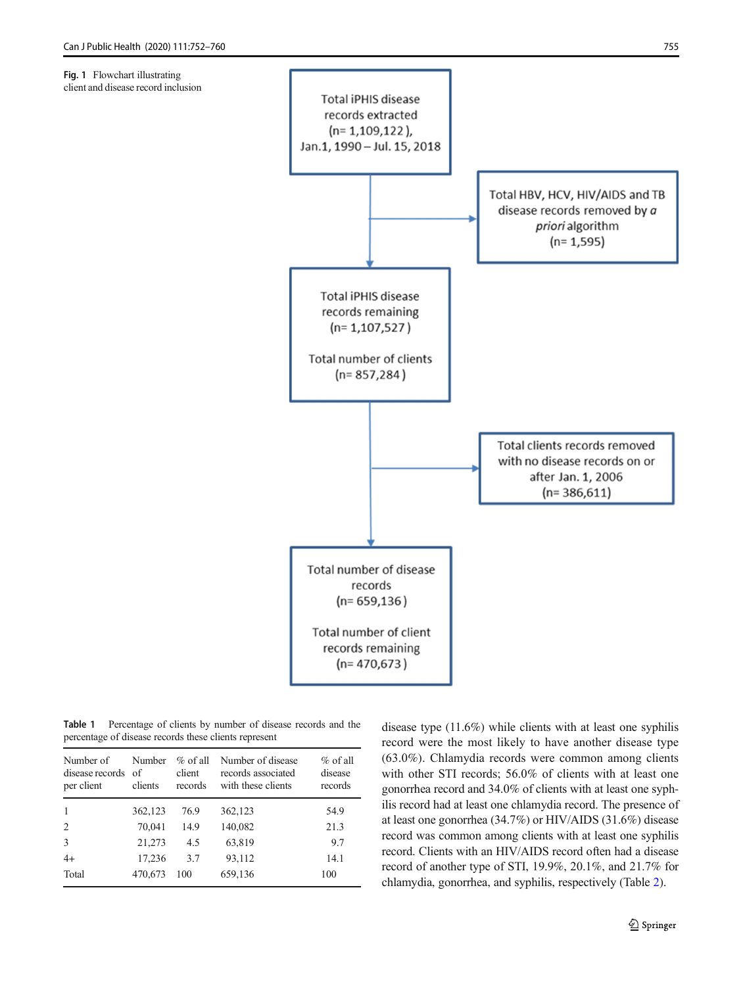<span id="page-3-0"></span>



Table 1 Percentage of clients by number of disease records and the percentage of disease records these clients represent

| Number of<br>disease records<br>per client | Number<br>of<br>clients | $\%$ of all<br>client<br>records | Number of disease<br>records associated<br>with these clients | $\%$ of all<br>disease<br>records |
|--------------------------------------------|-------------------------|----------------------------------|---------------------------------------------------------------|-----------------------------------|
| $\mathbf{1}$                               | 362,123                 | 76.9                             | 362,123                                                       | 54.9                              |
| $\overline{c}$                             | 70,041                  | 14.9                             | 140,082                                                       | 21.3                              |
| 3                                          | 21,273                  | 4.5                              | 63,819                                                        | 9.7                               |
| $4+$                                       | 17,236                  | 3.7                              | 93,112                                                        | 14.1                              |
| Total                                      | 470,673                 | 100                              | 659,136                                                       | 100                               |

disease type (11.6%) while clients with at least one syphilis record were the most likely to have another disease type (63.0%). Chlamydia records were common among clients with other STI records; 56.0% of clients with at least one gonorrhea record and 34.0% of clients with at least one syphilis record had at least one chlamydia record. The presence of at least one gonorrhea (34.7%) or HIV/AIDS (31.6%) disease record was common among clients with at least one syphilis record. Clients with an HIV/AIDS record often had a disease record of another type of STI, 19.9%, 20.1%, and 21.7% for chlamydia, gonorrhea, and syphilis, respectively (Table [2\)](#page-4-0).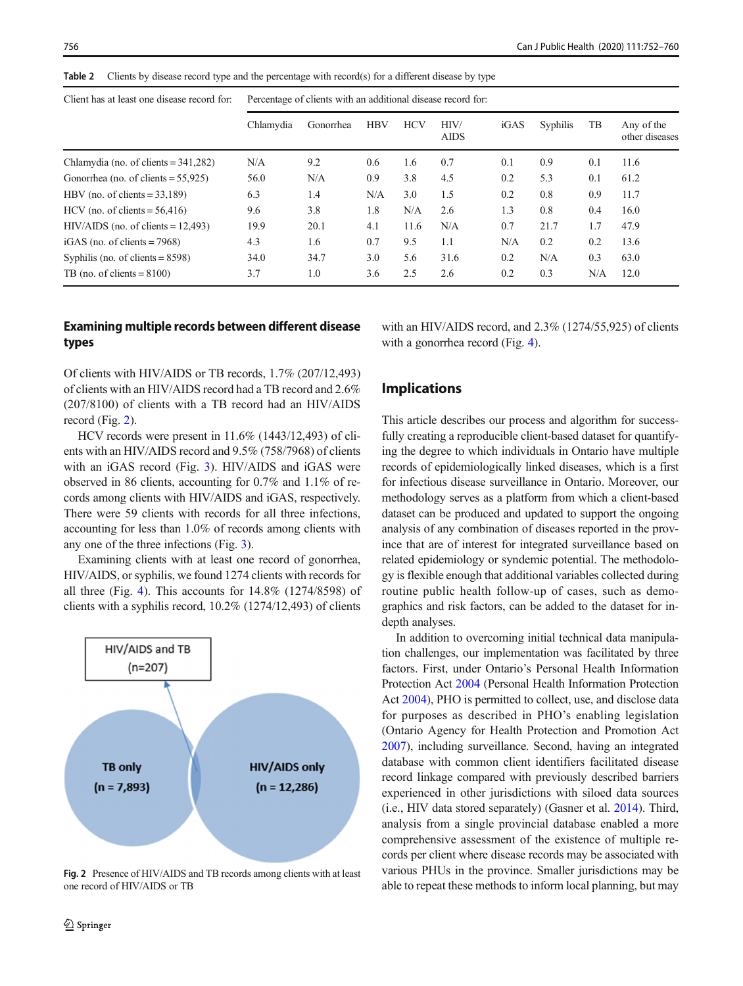<span id="page-4-0"></span>

|  | Table 2 Clients by disease record type and the percentage with record(s) for a different disease by type |  |  |  |  |  |
|--|----------------------------------------------------------------------------------------------------------|--|--|--|--|--|
|--|----------------------------------------------------------------------------------------------------------|--|--|--|--|--|

|                                         | Chlamydia | Gonorrhea | <b>HBV</b> | <b>HCV</b> | HIV/<br><b>AIDS</b> | iGAS | Syphilis | TB  | Any of the<br>other diseases |
|-----------------------------------------|-----------|-----------|------------|------------|---------------------|------|----------|-----|------------------------------|
| Chlamydia (no. of clients $= 341,282$ ) | N/A       | 9.2       | 0.6        | 1.6        | 0.7                 | 0.1  | 0.9      | 0.1 | 11.6                         |
| Gonorrhea (no. of clients $= 55,925$ )  | 56.0      | N/A       | 0.9        | 3.8        | 4.5                 | 0.2  | 5.3      | 0.1 | 61.2                         |
| HBV (no. of clients $= 33,189$ )        | 6.3       | 1.4       | N/A        | 3.0        | 1.5                 | 0.2  | 0.8      | 0.9 | 11.7                         |
| HCV (no. of clients $= 56,416$ )        | 9.6       | 3.8       | 1.8        | N/A        | 2.6                 | 1.3  | 0.8      | 0.4 | 16.0                         |
| $HIV/AIDS$ (no. of clients = 12,493)    | 19.9      | 20.1      | 4.1        | 11.6       | N/A                 | 0.7  | 21.7     | 1.7 | 47.9                         |
| iGAS (no. of clients $= 7968$ )         | 4.3       | 1.6       | 0.7        | 9.5        | 1.1                 | N/A  | 0.2      | 0.2 | 13.6                         |
| Syphilis (no. of clients $= 8598$ )     | 34.0      | 34.7      | 3.0        | 5.6        | 31.6                | 0.2  | N/A      | 0.3 | 63.0                         |
| TB (no. of clients $= 8100$ )           | 3.7       | 1.0       | 3.6        | 2.5        | 2.6                 | 0.2  | 0.3      | N/A | 12.0                         |

# Examining multiple records between different disease types

with an HIV/AIDS record, and 2.3% (1274/55,925) of clients with a gonorrhea record (Fig. [4](#page-5-0)).

Of clients with HIV/AIDS or TB records, 1.7% (207/12,493) of clients with an HIV/AIDS record had a TB record and 2.6% (207/8100) of clients with a TB record had an HIV/AIDS record (Fig. 2).

HCV records were present in 11.6% (1443/12,493) of clients with an HIV/AIDS record and 9.5% (758/7968) of clients with an iGAS record (Fig. [3\)](#page-5-0). HIV/AIDS and iGAS were observed in 86 clients, accounting for 0.7% and 1.1% of records among clients with HIV/AIDS and iGAS, respectively. There were 59 clients with records for all three infections, accounting for less than 1.0% of records among clients with any one of the three infections (Fig. [3](#page-5-0)).

Examining clients with at least one record of gonorrhea, HIV/AIDS, or syphilis, we found 1274 clients with records for all three (Fig. [4](#page-5-0)). This accounts for 14.8% (1274/8598) of clients with a syphilis record, 10.2% (1274/12,493) of clients



Fig. 2 Presence of HIV/AIDS and TB records among clients with at least one record of HIV/AIDS or TB

# Implications

This article describes our process and algorithm for successfully creating a reproducible client-based dataset for quantifying the degree to which individuals in Ontario have multiple records of epidemiologically linked diseases, which is a first for infectious disease surveillance in Ontario. Moreover, our methodology serves as a platform from which a client-based dataset can be produced and updated to support the ongoing analysis of any combination of diseases reported in the province that are of interest for integrated surveillance based on related epidemiology or syndemic potential. The methodology is flexible enough that additional variables collected during routine public health follow-up of cases, such as demographics and risk factors, can be added to the dataset for indepth analyses.

In addition to overcoming initial technical data manipulation challenges, our implementation was facilitated by three factors. First, under Ontario's Personal Health Information Protection Act [2004](#page-7-0) (Personal Health Information Protection Act [2004](#page-7-0)), PHO is permitted to collect, use, and disclose data for purposes as described in PHO's enabling legislation (Ontario Agency for Health Protection and Promotion Act [2007\)](#page-7-0), including surveillance. Second, having an integrated database with common client identifiers facilitated disease record linkage compared with previously described barriers experienced in other jurisdictions with siloed data sources (i.e., HIV data stored separately) (Gasner et al. [2014\)](#page-7-0). Third, analysis from a single provincial database enabled a more comprehensive assessment of the existence of multiple records per client where disease records may be associated with various PHUs in the province. Smaller jurisdictions may be able to repeat these methods to inform local planning, but may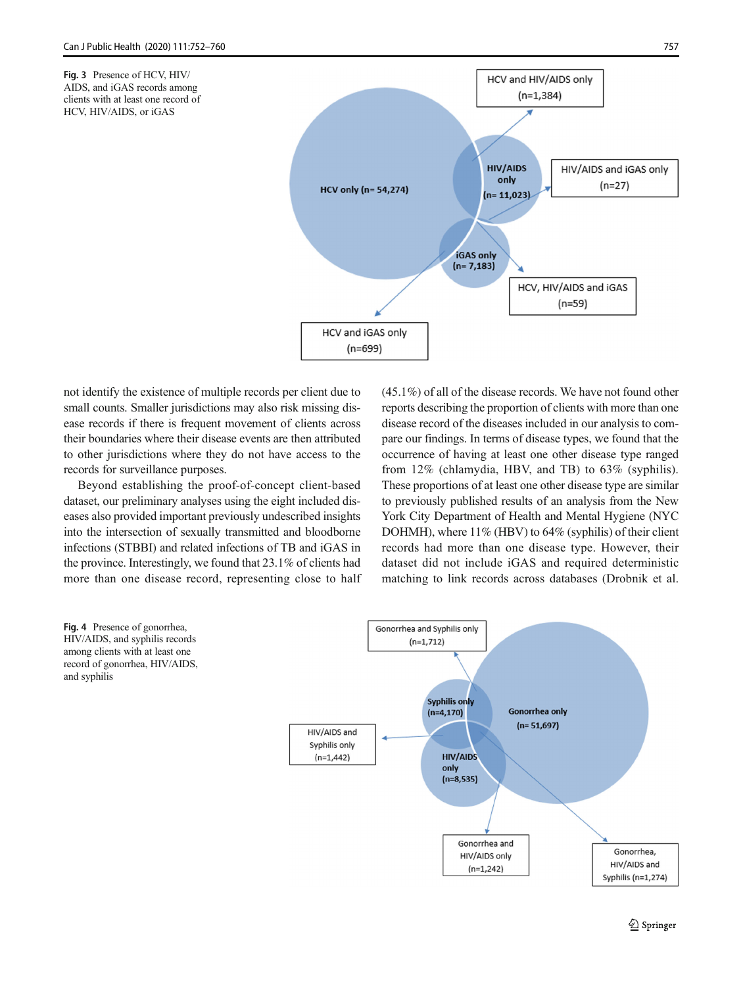<span id="page-5-0"></span>Fig. 3 Presence of HCV, HIV/ AIDS, and iGAS records among clients with at least one record of HCV, HIV/AIDS, or iGAS



not identify the existence of multiple records per client due to small counts. Smaller jurisdictions may also risk missing disease records if there is frequent movement of clients across their boundaries where their disease events are then attributed to other jurisdictions where they do not have access to the records for surveillance purposes.

Beyond establishing the proof-of-concept client-based dataset, our preliminary analyses using the eight included diseases also provided important previously undescribed insights into the intersection of sexually transmitted and bloodborne infections (STBBI) and related infections of TB and iGAS in the province. Interestingly, we found that 23.1% of clients had more than one disease record, representing close to half (45.1%) of all of the disease records. We have not found other reports describing the proportion of clients with more than one disease record of the diseases included in our analysis to compare our findings. In terms of disease types, we found that the occurrence of having at least one other disease type ranged from 12% (chlamydia, HBV, and TB) to 63% (syphilis). These proportions of at least one other disease type are similar to previously published results of an analysis from the New York City Department of Health and Mental Hygiene (NYC DOHMH), where 11% (HBV) to 64% (syphilis) of their client records had more than one disease type. However, their dataset did not include iGAS and required deterministic matching to link records across databases (Drobnik et al.

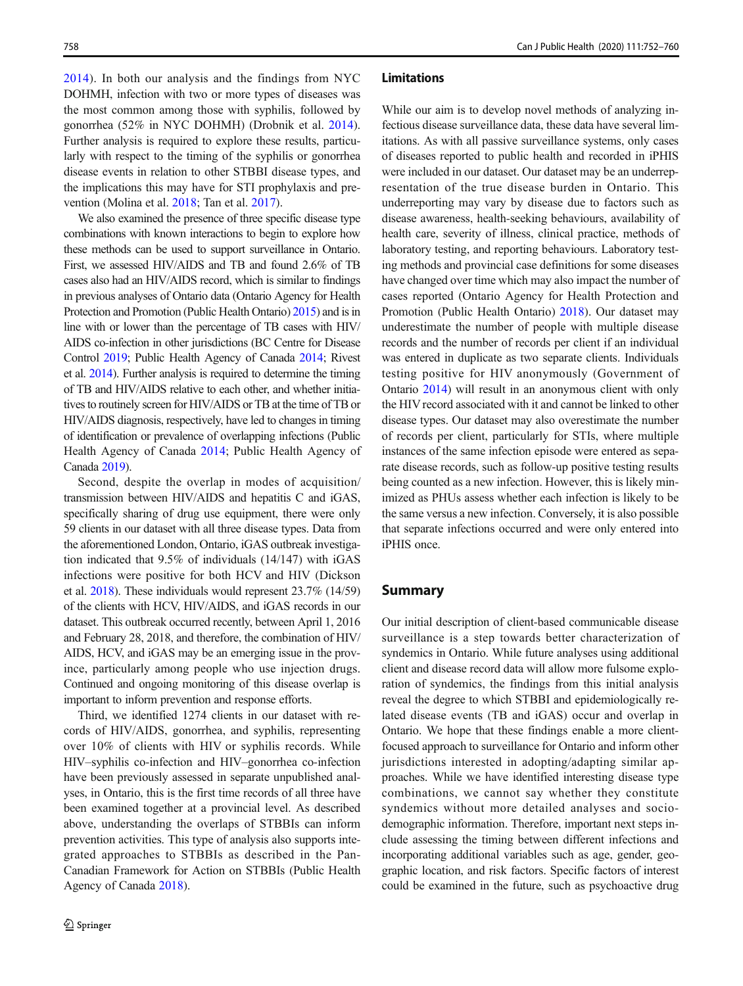[2014\)](#page-7-0). In both our analysis and the findings from NYC DOHMH, infection with two or more types of diseases was the most common among those with syphilis, followed by gonorrhea (52% in NYC DOHMH) (Drobnik et al. [2014](#page-7-0)). Further analysis is required to explore these results, particularly with respect to the timing of the syphilis or gonorrhea disease events in relation to other STBBI disease types, and the implications this may have for STI prophylaxis and prevention (Molina et al. [2018;](#page-7-0) Tan et al. [2017](#page-8-0)).

We also examined the presence of three specific disease type combinations with known interactions to begin to explore how these methods can be used to support surveillance in Ontario. First, we assessed HIV/AIDS and TB and found 2.6% of TB cases also had an HIV/AIDS record, which is similar to findings in previous analyses of Ontario data (Ontario Agency for Health Protection and Promotion (Public Health Ontario) [2015\)](#page-7-0) and is in line with or lower than the percentage of TB cases with HIV/ AIDS co-infection in other jurisdictions (BC Centre for Disease Control [2019;](#page-7-0) Public Health Agency of Canada [2014](#page-7-0); Rivest et al. [2014](#page-8-0)). Further analysis is required to determine the timing of TB and HIV/AIDS relative to each other, and whether initiatives to routinely screen for HIV/AIDS or TB at the time of TB or HIV/AIDS diagnosis, respectively, have led to changes in timing of identification or prevalence of overlapping infections (Public Health Agency of Canada [2014;](#page-7-0) Public Health Agency of Canada [2019](#page-8-0)).

Second, despite the overlap in modes of acquisition/ transmission between HIV/AIDS and hepatitis C and iGAS, specifically sharing of drug use equipment, there were only 59 clients in our dataset with all three disease types. Data from the aforementioned London, Ontario, iGAS outbreak investigation indicated that 9.5% of individuals (14/147) with iGAS infections were positive for both HCV and HIV (Dickson et al. [2018\)](#page-7-0). These individuals would represent 23.7% (14/59) of the clients with HCV, HIV/AIDS, and iGAS records in our dataset. This outbreak occurred recently, between April 1, 2016 and February 28, 2018, and therefore, the combination of HIV/ AIDS, HCV, and iGAS may be an emerging issue in the province, particularly among people who use injection drugs. Continued and ongoing monitoring of this disease overlap is important to inform prevention and response efforts.

Third, we identified 1274 clients in our dataset with records of HIV/AIDS, gonorrhea, and syphilis, representing over 10% of clients with HIV or syphilis records. While HIV–syphilis co-infection and HIV–gonorrhea co-infection have been previously assessed in separate unpublished analyses, in Ontario, this is the first time records of all three have been examined together at a provincial level. As described above, understanding the overlaps of STBBIs can inform prevention activities. This type of analysis also supports integrated approaches to STBBIs as described in the Pan-Canadian Framework for Action on STBBIs (Public Health Agency of Canada [2018](#page-8-0)).

#### Limitations

While our aim is to develop novel methods of analyzing infectious disease surveillance data, these data have several limitations. As with all passive surveillance systems, only cases of diseases reported to public health and recorded in iPHIS were included in our dataset. Our dataset may be an underrepresentation of the true disease burden in Ontario. This underreporting may vary by disease due to factors such as disease awareness, health-seeking behaviours, availability of health care, severity of illness, clinical practice, methods of laboratory testing, and reporting behaviours. Laboratory testing methods and provincial case definitions for some diseases have changed over time which may also impact the number of cases reported (Ontario Agency for Health Protection and Promotion (Public Health Ontario) [2018\)](#page-7-0). Our dataset may underestimate the number of people with multiple disease records and the number of records per client if an individual was entered in duplicate as two separate clients. Individuals testing positive for HIV anonymously (Government of Ontario [2014\)](#page-7-0) will result in an anonymous client with only the HIV record associated with it and cannot be linked to other disease types. Our dataset may also overestimate the number of records per client, particularly for STIs, where multiple instances of the same infection episode were entered as separate disease records, such as follow-up positive testing results being counted as a new infection. However, this is likely minimized as PHUs assess whether each infection is likely to be the same versus a new infection. Conversely, it is also possible that separate infections occurred and were only entered into iPHIS once.

### Summary

Our initial description of client-based communicable disease surveillance is a step towards better characterization of syndemics in Ontario. While future analyses using additional client and disease record data will allow more fulsome exploration of syndemics, the findings from this initial analysis reveal the degree to which STBBI and epidemiologically related disease events (TB and iGAS) occur and overlap in Ontario. We hope that these findings enable a more clientfocused approach to surveillance for Ontario and inform other jurisdictions interested in adopting/adapting similar approaches. While we have identified interesting disease type combinations, we cannot say whether they constitute syndemics without more detailed analyses and sociodemographic information. Therefore, important next steps include assessing the timing between different infections and incorporating additional variables such as age, gender, geographic location, and risk factors. Specific factors of interest could be examined in the future, such as psychoactive drug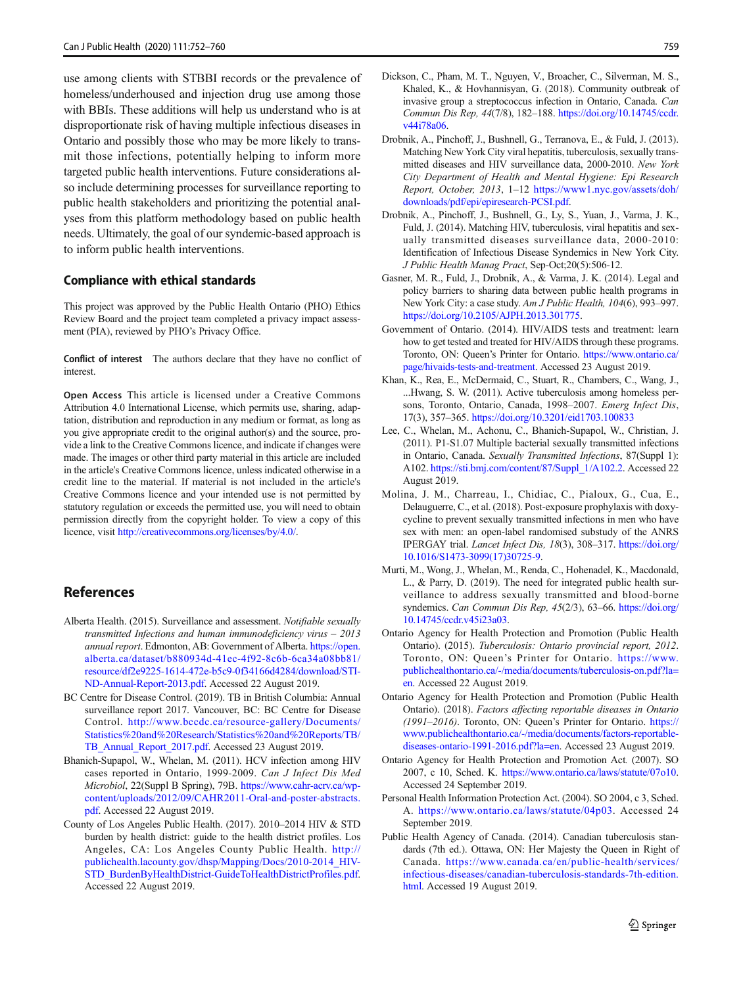<span id="page-7-0"></span>use among clients with STBBI records or the prevalence of homeless/underhoused and injection drug use among those with BBIs. These additions will help us understand who is at disproportionate risk of having multiple infectious diseases in Ontario and possibly those who may be more likely to transmit those infections, potentially helping to inform more targeted public health interventions. Future considerations also include determining processes for surveillance reporting to public health stakeholders and prioritizing the potential analyses from this platform methodology based on public health needs. Ultimately, the goal of our syndemic-based approach is to inform public health interventions.

### Compliance with ethical standards

This project was approved by the Public Health Ontario (PHO) Ethics Review Board and the project team completed a privacy impact assessment (PIA), reviewed by PHO's Privacy Office.

Conflict of interest The authors declare that they have no conflict of interest.

Open Access This article is licensed under a Creative Commons Attribution 4.0 International License, which permits use, sharing, adaptation, distribution and reproduction in any medium or format, as long as you give appropriate credit to the original author(s) and the source, provide a link to the Creative Commons licence, and indicate if changes were made. The images or other third party material in this article are included in the article's Creative Commons licence, unless indicated otherwise in a credit line to the material. If material is not included in the article's Creative Commons licence and your intended use is not permitted by statutory regulation or exceeds the permitted use, you will need to obtain permission directly from the copyright holder. To view a copy of this licence, visit <http://creativecommons.org/licenses/by/4.0/>.

- Alberta Health. (2015). Surveillance and assessment. Notifiable sexually transmitted Infections and human immunodeficiency virus – 2013 annual report. Edmonton, AB: Government of Alberta. [https://open.](https://open.alberta.ca/dataset/b880934d-41ec-4f92-8c6b-6ca34a08bb81/resource/df2e9225-1614-472e-b5c9-0f34166d4284/download/STI-ND-Annual-Report-2013.pdf) [alberta.ca/dataset/b880934d-41ec-4f92-8c6b-6ca34a08bb81/](https://open.alberta.ca/dataset/b880934d-41ec-4f92-8c6b-6ca34a08bb81/resource/df2e9225-1614-472e-b5c9-0f34166d4284/download/STI-ND-Annual-Report-2013.pdf) [resource/df2e9225-1614-472e-b5c9-0f34166d4284/download/STI-](https://open.alberta.ca/dataset/b880934d-41ec-4f92-8c6b-6ca34a08bb81/resource/df2e9225-1614-472e-b5c9-0f34166d4284/download/STI-ND-Annual-Report-2013.pdf)[ND-Annual-Report-2013.pdf.](https://open.alberta.ca/dataset/b880934d-41ec-4f92-8c6b-6ca34a08bb81/resource/df2e9225-1614-472e-b5c9-0f34166d4284/download/STI-ND-Annual-Report-2013.pdf) Accessed 22 August 2019.
- BC Centre for Disease Control. (2019). TB in British Columbia: Annual surveillance report 2017. Vancouver, BC: BC Centre for Disease Control. [http://www.bccdc.ca/resource-gallery/Documents/](http://www.bccdc.ca/resource-gallery/Documents/Statistics%20and%20Research/Statistics%20and%20Reports/TB/TB_Annual_Report_2017.pdf) [Statistics%20and%20Research/Statistics%20and%20Reports/TB/](http://www.bccdc.ca/resource-gallery/Documents/Statistics%20and%20Research/Statistics%20and%20Reports/TB/TB_Annual_Report_2017.pdf) [TB\\_Annual\\_Report\\_2017.pdf.](http://www.bccdc.ca/resource-gallery/Documents/Statistics%20and%20Research/Statistics%20and%20Reports/TB/TB_Annual_Report_2017.pdf) Accessed 23 August 2019.
- Bhanich-Supapol, W., Whelan, M. (2011). HCV infection among HIV cases reported in Ontario, 1999-2009. Can J Infect Dis Med Microbiol, 22(Suppl B Spring), 79B. [https://www.cahr-acrv.ca/wp](https://www.cahr-acrv.ca/wp-content/uploads/2012/09/CAHR2011-Oral-and-poster-abstracts.pdf)[content/uploads/2012/09/CAHR2011-Oral-and-poster-abstracts.](https://www.cahr-acrv.ca/wp-content/uploads/2012/09/CAHR2011-Oral-and-poster-abstracts.pdf) [pdf.](https://www.cahr-acrv.ca/wp-content/uploads/2012/09/CAHR2011-Oral-and-poster-abstracts.pdf) Accessed 22 August 2019.
- County of Los Angeles Public Health. (2017). 2010–2014 HIV & STD burden by health district: guide to the health district profiles. Los Angeles, CA: Los Angeles County Public Health. [http://](http://publichealth.lacounty.gov/dhsp/Mapping/Docs/2010-2014_HIV-STD_BurdenByHealthDistrict-GuideToHealthDistrictProfiles.pdf) [publichealth.lacounty.gov/dhsp/Mapping/Docs/2010-2014\\_HIV-](http://publichealth.lacounty.gov/dhsp/Mapping/Docs/2010-2014_HIV-STD_BurdenByHealthDistrict-GuideToHealthDistrictProfiles.pdf)[STD\\_BurdenByHealthDistrict-GuideToHealthDistrictProfiles.pdf.](http://publichealth.lacounty.gov/dhsp/Mapping/Docs/2010-2014_HIV-STD_BurdenByHealthDistrict-GuideToHealthDistrictProfiles.pdf) Accessed 22 August 2019.
- Dickson, C., Pham, M. T., Nguyen, V., Broacher, C., Silverman, M. S., Khaled, K., & Hovhannisyan, G. (2018). Community outbreak of invasive group a streptococcus infection in Ontario, Canada. Can Commun Dis Rep, 44(7/8), 182–188. [https://doi.org/10.14745/ccdr.](https://doi.org/10.14745/ccdr.v44i78a06) [v44i78a06.](https://doi.org/10.14745/ccdr.v44i78a06)
- Drobnik, A., Pinchoff, J., Bushnell, G., Terranova, E., & Fuld, J. (2013). Matching New York City viral hepatitis, tuberculosis, sexually transmitted diseases and HIV surveillance data, 2000-2010. New York City Department of Health and Mental Hygiene: Epi Research Report, October, 2013, 1–12 [https://www1.nyc.gov/assets/doh/](https://www1.nyc.gov/assets/doh/downloads/pdf/epi/epiresearch-PCSI.pdf) [downloads/pdf/epi/epiresearch-PCSI.pdf.](https://www1.nyc.gov/assets/doh/downloads/pdf/epi/epiresearch-PCSI.pdf)
- Drobnik, A., Pinchoff, J., Bushnell, G., Ly, S., Yuan, J., Varma, J. K., Fuld, J. (2014). Matching HIV, tuberculosis, viral hepatitis and sexually transmitted diseases surveillance data, 2000-2010: Identification of Infectious Disease Syndemics in New York City. J Public Health Manag Pract, Sep-Oct;20(5):506-12.
- Gasner, M. R., Fuld, J., Drobnik, A., & Varma, J. K. (2014). Legal and policy barriers to sharing data between public health programs in New York City: a case study. Am J Public Health, 104(6), 993–997. <https://doi.org/10.2105/AJPH.2013.301775>.
- Government of Ontario. (2014). HIV/AIDS tests and treatment: learn how to get tested and treated for HIV/AIDS through these programs. Toronto, ON: Queen's Printer for Ontario. [https://www.ontario.ca/](https://www.ontario.ca/page/hivaids-tests-and-treatment) [page/hivaids-tests-and-treatment](https://www.ontario.ca/page/hivaids-tests-and-treatment). Accessed 23 August 2019.
- Khan, K., Rea, E., McDermaid, C., Stuart, R., Chambers, C., Wang, J., ...Hwang, S. W. (2011). Active tuberculosis among homeless persons, Toronto, Ontario, Canada, 1998–2007. Emerg Infect Dis, 17(3), 357–365. [https://doi.org/10.3201/eid1703.100833](http://creativecommons.org/licenses/by/4.0/)
- Lee, C., Whelan, M., Achonu, C., Bhanich-Supapol, W., Christian, J. (2011). P1-S1.07 Multiple bacterial sexually transmitted infections in Ontario, Canada. Sexually Transmitted Infections, 87(Suppl 1): A102. [https://sti.bmj.com/content/87/Suppl\\_1/A102.2](https://sti.bmj.com/content/87/Suppl_1/A102.2). Accessed 22 August 2019.
- Molina, J. M., Charreau, I., Chidiac, C., Pialoux, G., Cua, E., Delauguerre, C., et al. (2018). Post-exposure prophylaxis with doxycycline to prevent sexually transmitted infections in men who have sex with men: an open-label randomised substudy of the ANRS IPERGAY trial. Lancet Infect Dis, 18(3), 308–317. [https://doi.org/](https://doi.org/10.1016/S1473-3099(17)30725-9) [10.1016/S1473-3099\(17\)30725-9](https://doi.org/10.1016/S1473-3099(17)30725-9).
- Murti, M., Wong, J., Whelan, M., Renda, C., Hohenadel, K., Macdonald, L., & Parry, D. (2019). The need for integrated public health surveillance to address sexually transmitted and blood-borne syndemics. Can Commun Dis Rep, 45(2/3), 63–66. [https://doi.org/](https://doi.org/10.14745/ccdr.v45i23a03) [10.14745/ccdr.v45i23a03.](https://doi.org/10.14745/ccdr.v45i23a03)
- Ontario Agency for Health Protection and Promotion (Public Health Ontario). (2015). Tuberculosis: Ontario provincial report, 2012. Toronto, ON: Queen's Printer for Ontario. [https://www.](https://www.publichealthontario.ca/-/media/documents/tuberculosis-on.pdf?la=en) [publichealthontario.ca/-/media/documents/tuberculosis-on.pdf?la=](https://www.publichealthontario.ca/-/media/documents/tuberculosis-on.pdf?la=en) [en.](https://www.publichealthontario.ca/-/media/documents/tuberculosis-on.pdf?la=en) Accessed 22 August 2019.
- Ontario Agency for Health Protection and Promotion (Public Health Ontario). (2018). Factors affecting reportable diseases in Ontario (1991–2016). Toronto, ON: Queen's Printer for Ontario. [https://](https://www.publichealthontario.ca/-/media/documents/factors-reportable-diseases-ontario-1991-2016.pdf?la=en) [www.publichealthontario.ca/-/media/documents/factors-reportable](https://www.publichealthontario.ca/-/media/documents/factors-reportable-diseases-ontario-1991-2016.pdf?la=en)[diseases-ontario-1991-2016.pdf?la=en](https://www.publichealthontario.ca/-/media/documents/factors-reportable-diseases-ontario-1991-2016.pdf?la=en). Accessed 23 August 2019.
- Ontario Agency for Health Protection and Promotion Act. (2007). SO 2007, c 10, Sched. K. <https://www.ontario.ca/laws/statute/07o10>. Accessed 24 September 2019.
- Personal Health Information Protection Act. (2004). SO 2004, c 3, Sched. A. <https://www.ontario.ca/laws/statute/04p03>. Accessed 24 September 2019.
- Public Health Agency of Canada. (2014). Canadian tuberculosis standards (7th ed.). Ottawa, ON: Her Majesty the Queen in Right of Canada. [https://www.canada.ca/en/public-health/services/](https://www.canada.ca/en/public-health/services/infectious-diseases/canadian-tuberculosis-standards-7th-edition.html) [infectious-diseases/canadian-tuberculosis-standards-7th-edition.](https://www.canada.ca/en/public-health/services/infectious-diseases/canadian-tuberculosis-standards-7th-edition.html) [html](https://www.canada.ca/en/public-health/services/infectious-diseases/canadian-tuberculosis-standards-7th-edition.html). Accessed 19 August 2019.